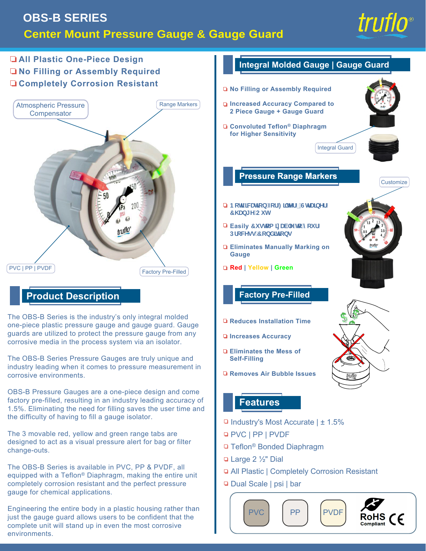

# **All Plastic One-Piece Design No Filling or Assembly Required Completely Corrosion Resistant**



## **Product Description**

The OBS-B Series is the industry's only integral molded one-piece plastic pressure gauge and gauge guard. Gauge guards are utilized to protect the pressure gauge from any corrosive media in the process system via an isolator.

The OBS-B Series Pressure Gauges are truly unique and industry leading when it comes to pressure measurement in corrosive environments.

OBS-B Pressure Gauges are a one-piece design and come factory pre-filled, resulting in an industry leading accuracy of 1.5%. Eliminating the need for filling saves the user time and the difficulty of having to fill a gauge isolator.

The 3 movable red, yellow and green range tabs are designed to act as a visual pressure alert for bag or filter change-outs.

The OBS-B Series is available in PVC, PP & PVDF, all equipped with a Teflon® Diaphragm, making the entire unit completely corrosion resistant and the perfect pressure gauge for chemical applications.

Engineering the entire body in a plastic housing rather than just the gauge guard allows users to be confident that the complete unit will stand up in even the most corrosive environments.